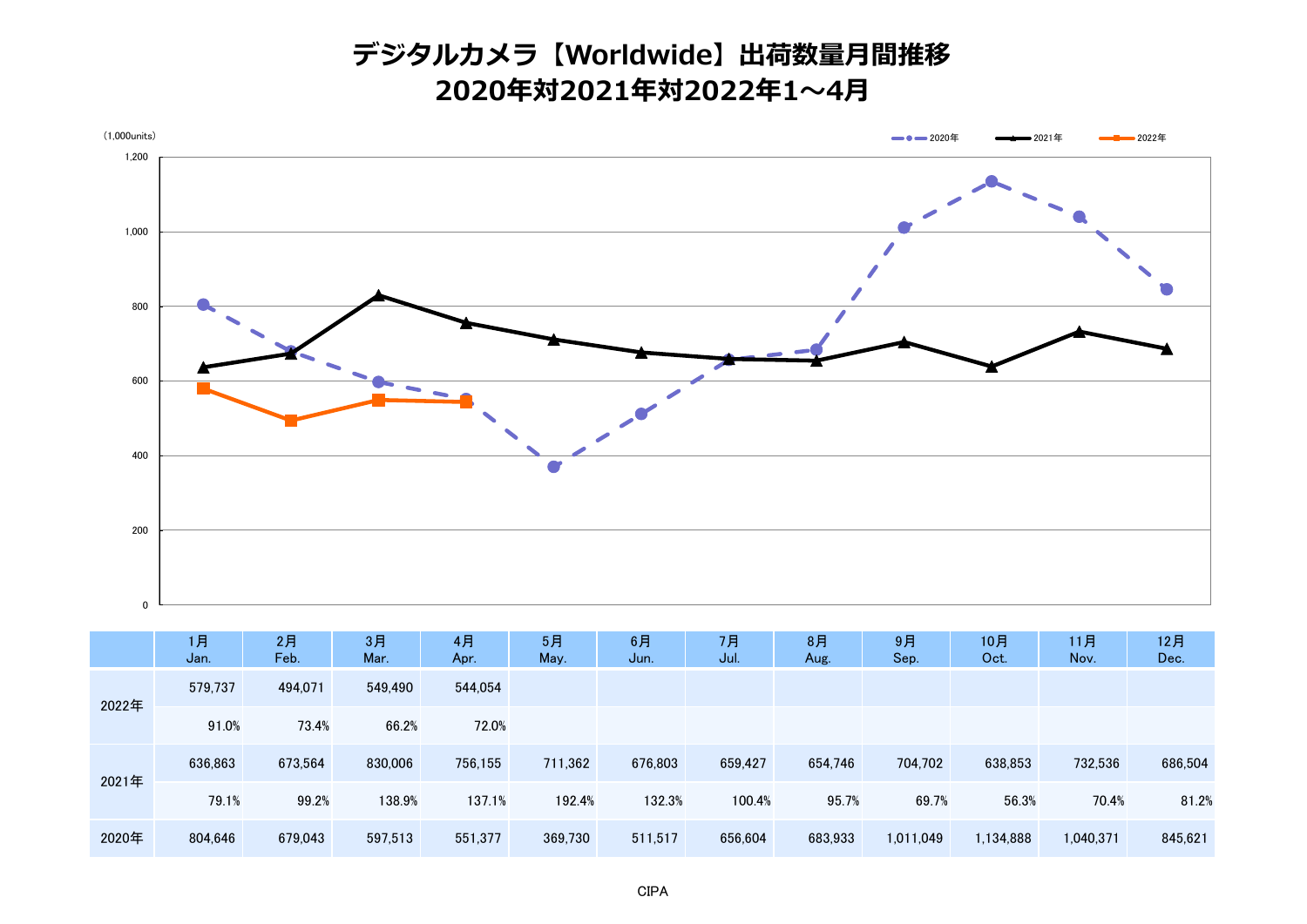## **デジタルカメラ【Worldwide】出荷数量月間推移 2020年対2021年対2022年1~4月**



|       | 1月<br>Jan. | 2月<br>Feb. | 3月<br>Mar. | 4月<br>Apr. | 5月<br>May. | 6月<br>Jun. | 7月<br>Jul. | 8月<br>Aug. | 9月<br>Sep. | 10月<br>Oct. | 11月<br>Nov. | 12月<br>Dec. |
|-------|------------|------------|------------|------------|------------|------------|------------|------------|------------|-------------|-------------|-------------|
| 2022年 | 579.737    | 494.071    | 549,490    | 544,054    |            |            |            |            |            |             |             |             |
|       | 91.0%      | 73.4%      | 66.2%      | 72.0%      |            |            |            |            |            |             |             |             |
| 2021年 | 636,863    | 673,564    | 830,006    | 756.155    | 711,362    | 676,803    | 659,427    | 654,746    | 704,702    | 638,853     | 732,536     | 686,504     |
|       | 79.1%      | 99.2%      | 138.9%     | 137.1%     | 192.4%     | 132.3%     | 100.4%     | 95.7%      | 69.7%      | 56.3%       | 70.4%       | 81.2%       |
| 2020年 | 804,646    | 679,043    | 597,513    | 551,377    | 369,730    | 511,517    | 656,604    | 683,933    | 1,011,049  | 1,134,888   | 1,040,371   | 845,621     |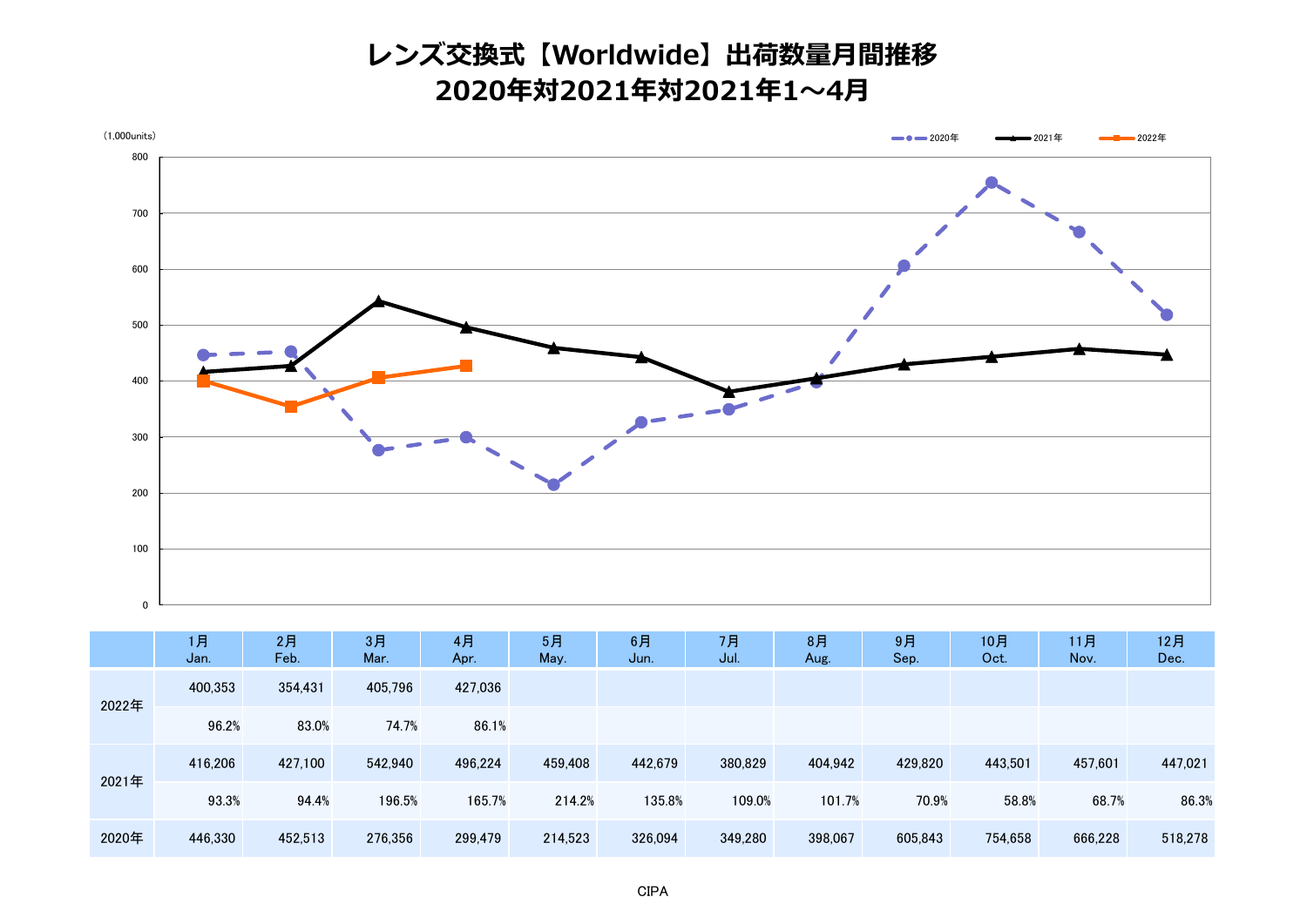## **レンズ交換式【Worldwide】出荷数量月間推移 2020年対2021年対2021年1~4月**



|       | 1月<br>Jan. | 2月<br>Feb. | 3月<br>Mar. | 4月<br>Apr. | 5月<br>May. | 6月<br>Jun. | 7月<br>Jul. | 8月<br>Aug. | 9月<br>Sep. | 10月<br>Oct. | 11月<br>Nov. | 12月<br>Dec. |
|-------|------------|------------|------------|------------|------------|------------|------------|------------|------------|-------------|-------------|-------------|
| 2022年 | 400,353    | 354,431    | 405,796    | 427,036    |            |            |            |            |            |             |             |             |
|       | 96.2%      | 83.0%      | 74.7%      | 86.1%      |            |            |            |            |            |             |             |             |
| 2021年 | 416,206    | 427.100    | 542.940    | 496,224    | 459,408    | 442,679    | 380,829    | 404,942    | 429,820    | 443,501     | 457,601     | 447,021     |
|       | 93.3%      | 94.4%      | 196.5%     | 165.7%     | 214.2%     | 135.8%     | 109.0%     | 101.7%     | 70.9%      | 58.8%       | 68.7%       | 86.3%       |
| 2020年 | 446,330    | 452,513    | 276,356    | 299,479    | 214,523    | 326,094    | 349,280    | 398,067    | 605,843    | 754,658     | 666,228     | 518,278     |